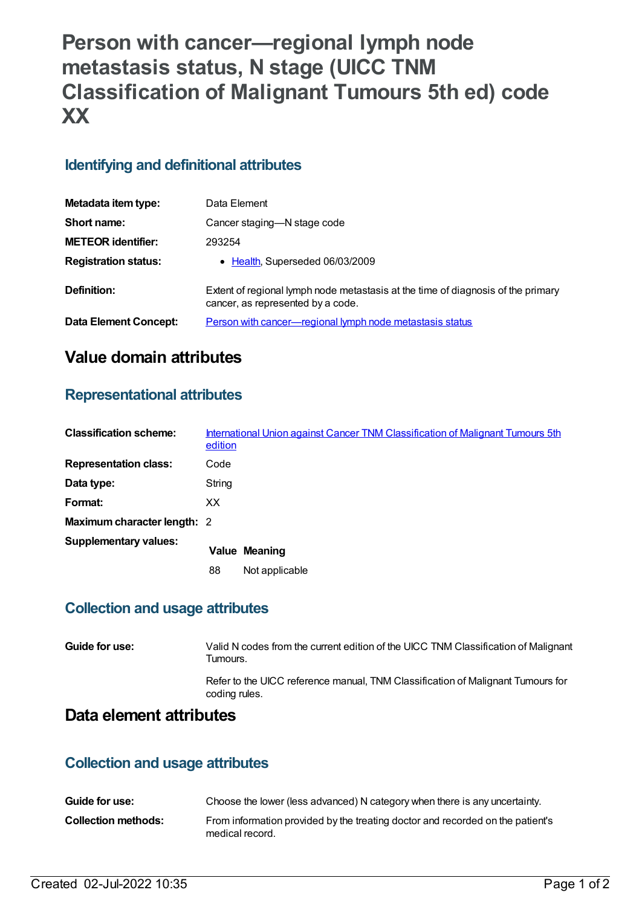# **Person with cancer—regional lymph node metastasis status, N stage (UICC TNM Classification of Malignant Tumours 5th ed) code XX**

## **Identifying and definitional attributes**

| Metadata item type:         | Data Element                                                                                                          |
|-----------------------------|-----------------------------------------------------------------------------------------------------------------------|
| Short name:                 | Cancer staging-N stage code                                                                                           |
| <b>METEOR identifier:</b>   | 293254                                                                                                                |
| <b>Registration status:</b> | • Health, Superseded 06/03/2009                                                                                       |
| Definition:                 | Extent of regional lymph node metastasis at the time of diagnosis of the primary<br>cancer, as represented by a code. |
| Data Element Concept:       | Person with cancer-regional lymph node metastasis status                                                              |

# **Value domain attributes**

### **Representational attributes**

| <b>Classification scheme:</b> | edition | International Union against Cancer TNM Classification of Malignant Tumours 5th |
|-------------------------------|---------|--------------------------------------------------------------------------------|
| <b>Representation class:</b>  | Code    |                                                                                |
| Data type:                    | String  |                                                                                |
| Format:                       | XX.     |                                                                                |
| Maximum character length: 2   |         |                                                                                |
| <b>Supplementary values:</b>  |         | <b>Value Meaning</b>                                                           |
|                               | 88      | Not applicable                                                                 |

#### **Collection and usage attributes**

| Guide for use:          | Valid N codes from the current edition of the UICC TNM Classification of Malignant<br>Tumours.   |
|-------------------------|--------------------------------------------------------------------------------------------------|
|                         | Refer to the UICC reference manual, TNM Classification of Malignant Tumours for<br>coding rules. |
| Data element attributes |                                                                                                  |

#### **Collection and usage attributes**

| Guide for use:      | Choose the lower (less advanced) N category when there is any uncertainty.                        |
|---------------------|---------------------------------------------------------------------------------------------------|
| Collection methods: | From information provided by the treating doctor and recorded on the patient's<br>medical record. |